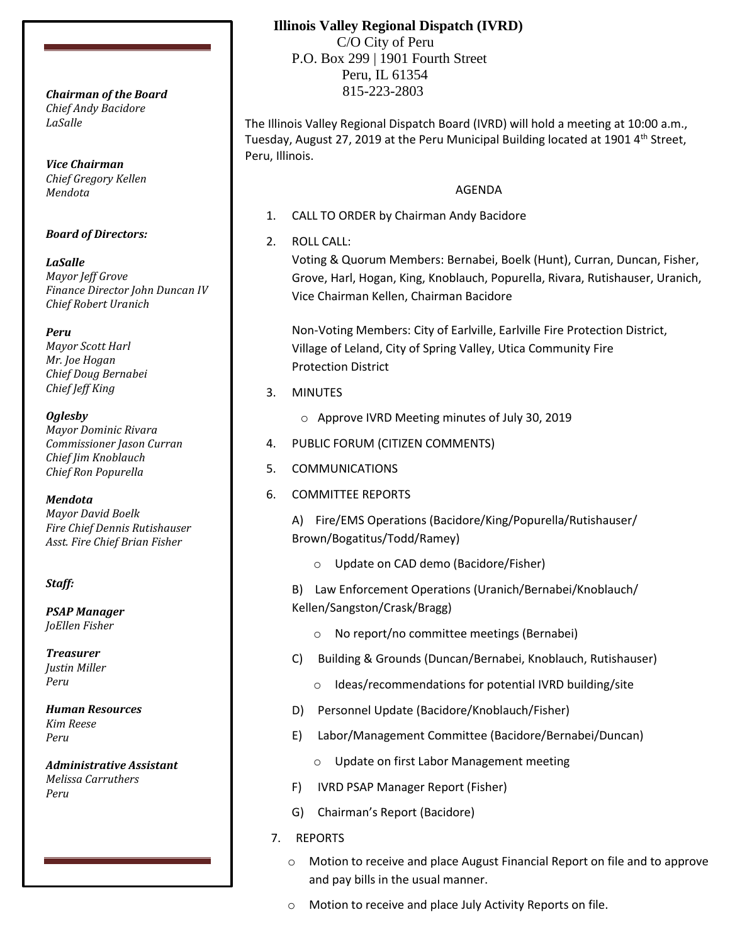*Chief Andy Bacidore LaSalle*

*Vice Chairman Chief Gregory Kellen Mendota*

## *Board of Directors:*

*LaSalle Mayor Jeff Grove Finance Director John Duncan IV Chief Robert Uranich*

*Peru*

*Mayor Scott Harl Mr. Joe Hogan Chief Doug Bernabei Chief Jeff King*

*Oglesby*

*Mayor Dominic Rivara Commissioner Jason Curran Chief Jim Knoblauch Chief Ron Popurella*

*Mendota*

*Mayor David Boelk Fire Chief Dennis Rutishauser Asst. Fire Chief Brian Fisher*

## *Staff:*

*PSAP Manager JoEllen Fisher*

*Treasurer Justin Miller Peru*

*Human Resources Kim Reese Peru*

*Administrative Assistant Melissa Carruthers Peru*

## **Illinois Valley Regional Dispatch (IVRD)**

 C/O City of Peru P.O. Box 299 | 1901 Fourth Street Peru, IL 61354 815-223-2803 *Chairman of the Board*

> The Illinois Valley Regional Dispatch Board (IVRD) will hold a meeting at 10:00 a.m., Tuesday, August 27, 2019 at the Peru Municipal Building located at 1901 4<sup>th</sup> Street, Peru, Illinois.

## AGENDA

- 1. CALL TO ORDER by Chairman Andy Bacidore
- 2. ROLL CALL:

Voting & Quorum Members: Bernabei, Boelk (Hunt), Curran, Duncan, Fisher, Grove, Harl, Hogan, King, Knoblauch, Popurella, Rivara, Rutishauser, Uranich, Vice Chairman Kellen, Chairman Bacidore

Non-Voting Members: City of Earlville, Earlville Fire Protection District, Village of Leland, City of Spring Valley, Utica Community Fire Protection District

- 3. MINUTES
	- o Approve IVRD Meeting minutes of July 30, 2019
- 4. PUBLIC FORUM (CITIZEN COMMENTS)
- 5. COMMUNICATIONS
- 6. COMMITTEE REPORTS

A) Fire/EMS Operations (Bacidore/King/Popurella/Rutishauser/ Brown/Bogatitus/Todd/Ramey)

o Update on CAD demo (Bacidore/Fisher)

B) Law Enforcement Operations (Uranich/Bernabei/Knoblauch/ Kellen/Sangston/Crask/Bragg)

- o No report/no committee meetings (Bernabei)
- C) Building & Grounds (Duncan/Bernabei, Knoblauch, Rutishauser)
	- o Ideas/recommendations for potential IVRD building/site
- D) Personnel Update (Bacidore/Knoblauch/Fisher)
- E) Labor/Management Committee (Bacidore/Bernabei/Duncan)
	- o Update on first Labor Management meeting
- F) IVRD PSAP Manager Report (Fisher)
- G) Chairman's Report (Bacidore)
- 7. REPORTS
	- o Motion to receive and place August Financial Report on file and to approve and pay bills in the usual manner.
	- o Motion to receive and place July Activity Reports on file.